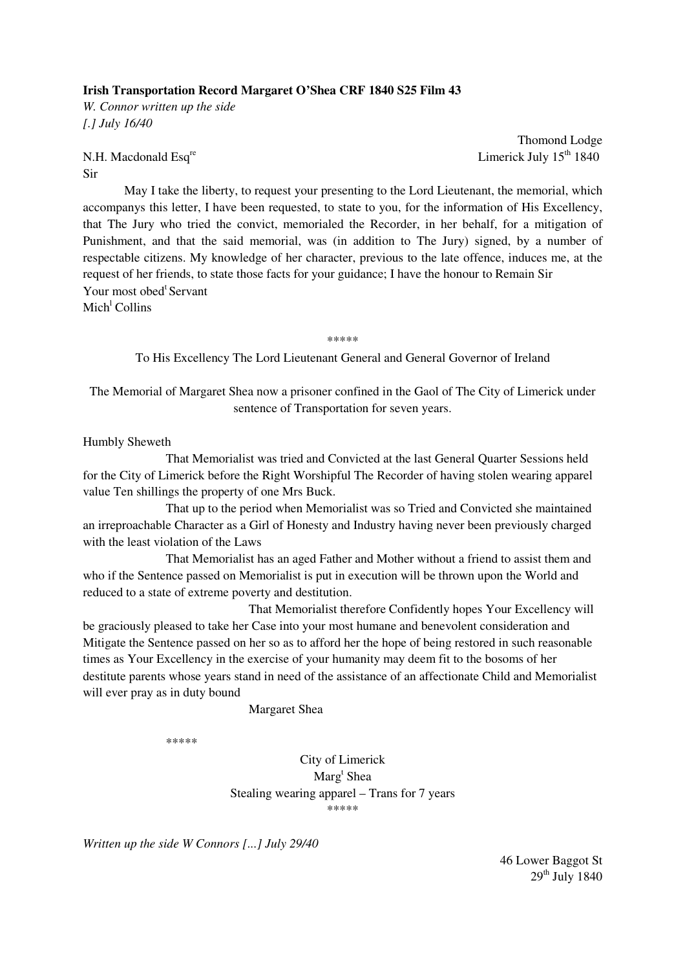## **Irish Transportation Record Margaret O'Shea CRF 1840 S25 Film 43**

*W. Connor written up the side [.] July 16/40* 

## Sir

Thomond Lodge N.H. Macdonald Esq<sup>re</sup> Limerick July  $15<sup>th</sup> 1840$ 

 May I take the liberty, to request your presenting to the Lord Lieutenant, the memorial, which accompanys this letter, I have been requested, to state to you, for the information of His Excellency, that The Jury who tried the convict, memorialed the Recorder, in her behalf, for a mitigation of Punishment, and that the said memorial, was (in addition to The Jury) signed, by a number of respectable citizens. My knowledge of her character, previous to the late offence, induces me, at the request of her friends, to state those facts for your guidance; I have the honour to Remain Sir Your most obed<sup>t</sup> Servant Mich<sup>l</sup> Collins

\*\*\*\*\*\*

To His Excellency The Lord Lieutenant General and General Governor of Ireland

The Memorial of Margaret Shea now a prisoner confined in the Gaol of The City of Limerick under sentence of Transportation for seven years.

Humbly Sheweth

 That Memorialist was tried and Convicted at the last General Quarter Sessions held for the City of Limerick before the Right Worshipful The Recorder of having stolen wearing apparel value Ten shillings the property of one Mrs Buck.

 That up to the period when Memorialist was so Tried and Convicted she maintained an irreproachable Character as a Girl of Honesty and Industry having never been previously charged with the least violation of the Laws

That Memorialist has an aged Father and Mother without a friend to assist them and who if the Sentence passed on Memorialist is put in execution will be thrown upon the World and reduced to a state of extreme poverty and destitution.

 That Memorialist therefore Confidently hopes Your Excellency will be graciously pleased to take her Case into your most humane and benevolent consideration and Mitigate the Sentence passed on her so as to afford her the hope of being restored in such reasonable times as Your Excellency in the exercise of your humanity may deem fit to the bosoms of her destitute parents whose years stand in need of the assistance of an affectionate Child and Memorialist will ever pray as in duty bound

Margaret Shea

\*\*\*\*\*

City of Limerick Marg<sup>t</sup> Shea Stealing wearing apparel – Trans for 7 years \*\*\*\*\*

*Written up the side W Connors [...] July 29/40* 

46 Lower Baggot St  $29<sup>th</sup>$  July 1840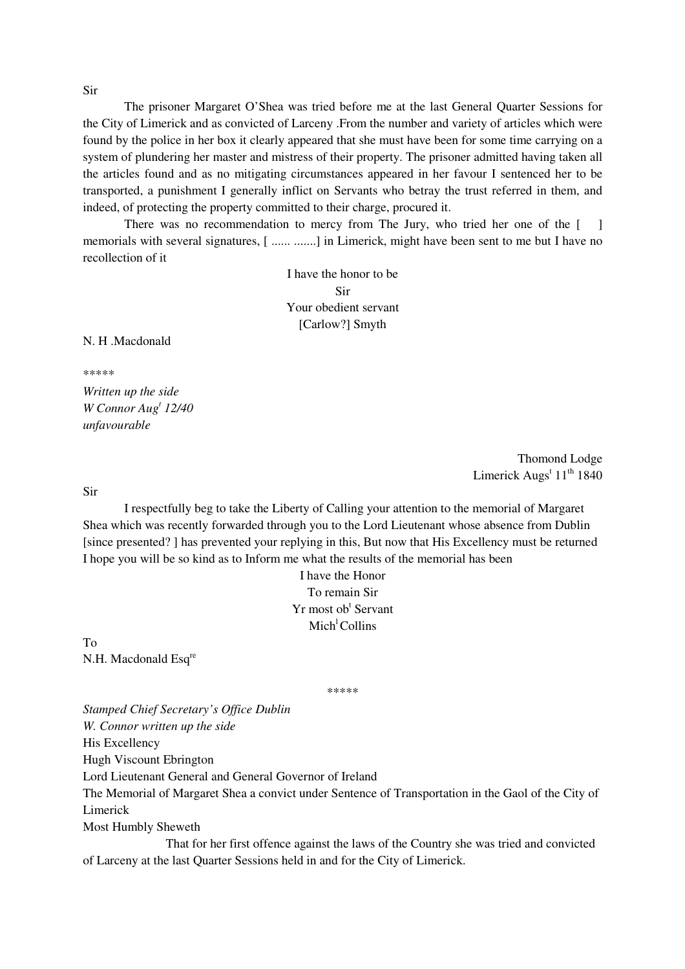Sir

 The prisoner Margaret O'Shea was tried before me at the last General Quarter Sessions for the City of Limerick and as convicted of Larceny .From the number and variety of articles which were found by the police in her box it clearly appeared that she must have been for some time carrying on a system of plundering her master and mistress of their property. The prisoner admitted having taken all the articles found and as no mitigating circumstances appeared in her favour I sentenced her to be transported, a punishment I generally inflict on Servants who betray the trust referred in them, and indeed, of protecting the property committed to their charge, procured it.

There was no recommendation to mercy from The Jury, who tried her one of the [ ] memorials with several signatures, [ ...... .......] in Limerick, might have been sent to me but I have no recollection of it

> I have the honor to be Sir Your obedient servant [Carlow?] Smyth

N. H. Macdonald

\*\*\*\*\*

*Written up the side W Connor Aug<sup>t</sup> 12/40 unfavourable* 

> Thomond Lodge Limerick Augs<sup>t</sup> 11<sup>th</sup> 1840

Sir

 I respectfully beg to take the Liberty of Calling your attention to the memorial of Margaret Shea which was recently forwarded through you to the Lord Lieutenant whose absence from Dublin [since presented? ] has prevented your replying in this, But now that His Excellency must be returned I hope you will be so kind as to Inform me what the results of the memorial has been

> I have the Honor To remain Sir Yr most ob<sup>t</sup> Servant  $Mich<sup>1</sup> Collins$

To N.H. Macdonald Esq<sup>re</sup>

\*\*\*\*\*

*Stamped Chief Secretary's Office Dublin W. Connor written up the side*  His Excellency Hugh Viscount Ebrington Lord Lieutenant General and General Governor of Ireland The Memorial of Margaret Shea a convict under Sentence of Transportation in the Gaol of the City of Limerick Most Humbly Sheweth

 That for her first offence against the laws of the Country she was tried and convicted of Larceny at the last Quarter Sessions held in and for the City of Limerick.